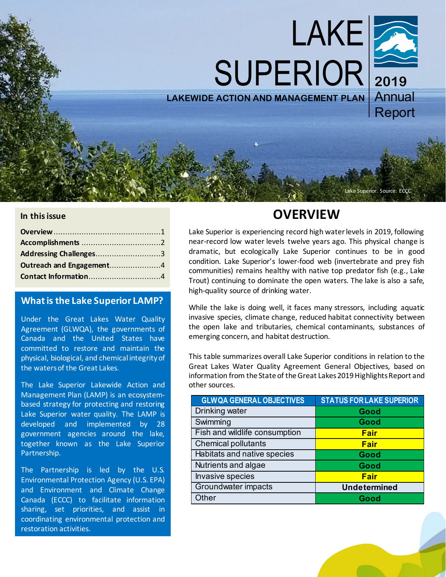

### **In this issue**

| Addressing Challenges3   |  |
|--------------------------|--|
| Outreach and Engagement4 |  |
|                          |  |

### **What is the Lake Superior LAMP?**

Under the Great Lakes Water Quality Agreement (GLWQA), the governments of Canada and the United States have committed to restore and maintain the physical, biological, and chemical integrity of the waters of the Great Lakes.

The Lake Superior Lakewide Action and Management Plan (LAMP) is an ecosystembased strategy for protecting and restoring Lake Superior water quality. The LAMP is developed and implemented by 28 government agencies around the lake, together known as the Lake Superior Partnership.

The Partnership is led by the U.S. Environmental Protection Agency (U.S. EPA) and Environment and Climate Change Canada (ECCC) to facilitate information sharing, set priorities, and assist in coordinating environmental protection and restoration activities.

# **OVERVIEW**

Lake Superior is experiencing record high water levels in 2019, following near-record low water levels twelve years ago. This physical change is dramatic, but ecologically Lake Superior continues to be in good condition. Lake Superior's lower-food web (invertebrate and prey fish communities) remains healthy with native top predator fish (e.g., Lake Trout) continuing to dominate the open waters. The lake is also a safe, high-quality source of drinking water.

While the lake is doing well, it faces many stressors, including aquatic invasive species, climate change, reduced habitat connectivity between the open lake and tributaries, chemical contaminants, substances of emerging concern, and habitat destruction.

This table summarizes overall Lake Superior conditions in relation to the Great Lakes Water Quality Agreement General Objectives, based on information from the State of the Great Lakes 2019 Highlights Report and other sources.

| <b>GLWQA GENERAL OBJECTIVES</b> | <b>STATUS FOR LAKE SUPERIOR</b> |
|---------------------------------|---------------------------------|
| Drinking water                  | Good                            |
| Swimming                        | Good                            |
| Fish and wildlife consumption   | Fair                            |
| <b>Chemical pollutants</b>      | <b>Fair</b>                     |
| Habitats and native species     | Good                            |
| Nutrients and algae             | Good                            |
| Invasive species                | Fair                            |
| Groundwater impacts             | <b>Undetermined</b>             |
| Other                           | Good                            |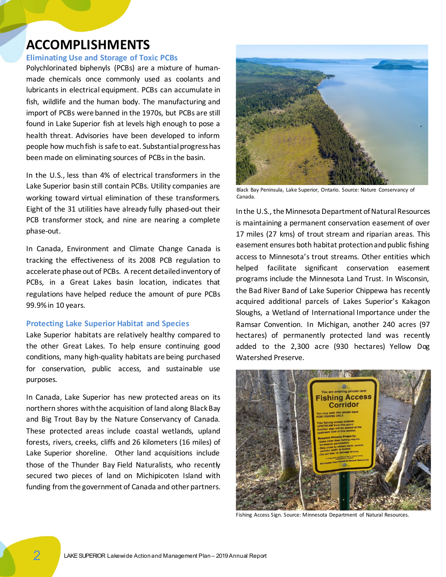## <span id="page-1-0"></span>**ACCOMPLISHMENTS**

#### **Eliminating Use and Storage of Toxic PCBs**

Polychlorinated biphenyls (PCBs) are a mixture of humanmade chemicals once commonly used as coolants and lubricants in electrical equipment. PCBs can accumulate in fish, wildlife and the human body. The manufacturing and import of PCBs were banned in the 1970s, but PCBs are still found in Lake Superior fish at levels high enough to pose a health threat. Advisories have been developed to inform people how much fish is safe to eat. Substantial progress has been made on eliminating sources of PCBs in the basin.

In the U.S., less than 4% of electrical transformers in the Lake Superior basin still contain PCBs. Utility companies are working toward virtual elimination of these transformers. Eight of the 31 utilities have already fully phased-out their PCB transformer stock, and nine are nearing a complete phase-out.

In Canada, Environment and Climate Change Canada is tracking the effectiveness of its 2008 PCB regulation to accelerate phase out of PCBs. A recent detailed inventory of PCBs, in a Great Lakes basin location, indicates that regulations have helped reduce the amount of pure PCBs 99.9% in 10 years.

#### **Protecting Lake Superior Habitat and Species**

Lake Superior habitats are relatively healthy compared to the other Great Lakes. To help ensure continuing good conditions, many high-quality habitats are being purchased for conservation, public access, and sustainable use purposes.

In Canada, Lake Superior has new protected areas on its northern shores with the acquisition of land along Black Bay and Big Trout Bay by the Nature Conservancy of Canada. These protected areas include coastal wetlands, upland forests, rivers, creeks, cliffs and 26 kilometers (16 miles) of Lake Superior shoreline. Other land acquisitions include those of the Thunder Bay Field Naturalists, who recently secured two pieces of land on Michipicoten Island with funding from the government of Canada and other partners.



Black Bay Peninsula, Lake Superior, Ontario. Source: Nature Conservancy of Canada.

In the U.S., the Minnesota Department of Natural Resources is maintaining a permanent conservation easement of over 17 miles (27 kms) of trout stream and riparian areas. This easement ensures both habitat protection and public fishing access to Minnesota's trout streams. Other entities which helped facilitate significant conservation easement programs include the Minnesota Land Trust. In Wisconsin, the Bad River Band of Lake Superior Chippewa has recently acquired additional parcels of Lakes Superior's Kakagon Sloughs, a Wetland of International Importance under the Ramsar Convention. In Michigan, another 240 acres (97 hectares) of permanently protected land was recently added to the 2,300 acre (930 hectares) Yellow Dog Watershed Preserve.



Fishing Access Sign. Source: Minnesota Department of Natural Resources.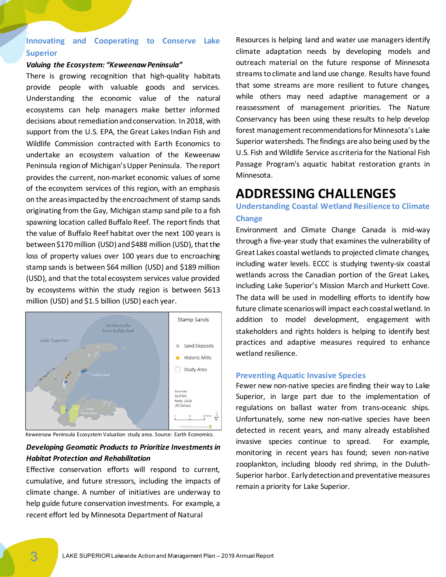## **Innovating and Cooperating to Conserve Lake Superior**

#### *Valuing the Ecosystem: "Keweenaw Peninsula"*

There is growing recognition that high-quality habitats provide people with valuable goods and services. Understanding the economic value of the natural ecosystems can help managers make better informed decisions about remediation and conservation. In 2018, with support from the U.S. EPA, the Great Lakes Indian Fish and Wildlife Commission contracted with Earth Economics to undertake an ecosystem valuation of the Keweenaw Peninsula region of Michigan's Upper Peninsula. The report provides the current, non-market economic values of some of the ecosystem services of this region, with an emphasis on the areas impacted by the encroachment of stamp sands originating from the Gay, Michigan stamp sand pile to a fish spawning location called Buffalo Reef. The report finds that the value of Buffalo Reef habitat over the next 100 years is between \$170 million (USD) and \$488 million (USD), that the loss of property values over 100 years due to encroaching stamp sands is between \$64 million (USD) and \$189 million (USD), and that the total ecosystem services value provided by ecosystems within the study region is between \$613 million (USD) and \$1.5 billion (USD) each year.



Keweenaw Peninsula Ecosystem Valuation study area. Source: Earth Economics.

### *Developing Geomatic Products to Prioritize Investments in Habitat Protection and Rehabilitation*

Effective conservation efforts will respond to current, cumulative, and future stressors, including the impacts of climate change. A number of initiatives are underway to help guide future conservation investments. For example, a recent effort led by Minnesota Department of Natural

Resources is helping land and water use managers identify climate adaptation needs by developing models and outreach material on the future response of Minnesota streams to climate and land use change. Results have found that some streams are more resilient to future changes, while others may need adaptive management or a reassessment of management priorities. The Nature Conservancy has been using these results to help develop forest management recommendations for Minnesota's Lake Superior watersheds. The findings are also being used by the U.S. Fish and Wildlife Service as criteria for the National Fish Passage Program's aquatic habitat restoration grants in Minnesota.

## <span id="page-2-0"></span>**ADDRESSING CHALLENGES**

### **Understanding Coastal Wetland Resilience to Climate Change**

Environment and Climate Change Canada is mid-way through a five-year study that examines the vulnerability of Great Lakes coastal wetlands to projected climate changes, including water levels. ECCC is studying twenty-six coastal wetlands across the Canadian portion of the Great Lakes, including Lake Superior's Mission March and Hurkett Cove. The data will be used in modelling efforts to identify how future climate scenarios will impact each coastal wetland. In addition to model development, engagement with stakeholders and rights holders is helping to identify best practices and adaptive measures required to enhance wetland resilience.

#### **Preventing Aquatic Invasive Species**

Fewer new non-native species are finding their way to Lake Superior, in large part due to the implementation of regulations on ballast water from trans-oceanic ships. Unfortunately, some new non-native species have been detected in recent years, and many already established invasive species continue to spread. For example, monitoring in recent years has found; seven non-native zooplankton, including bloody red shrimp, in the Duluth-Superior harbor. Early detection and preventative measures remain a priority for Lake Superior.